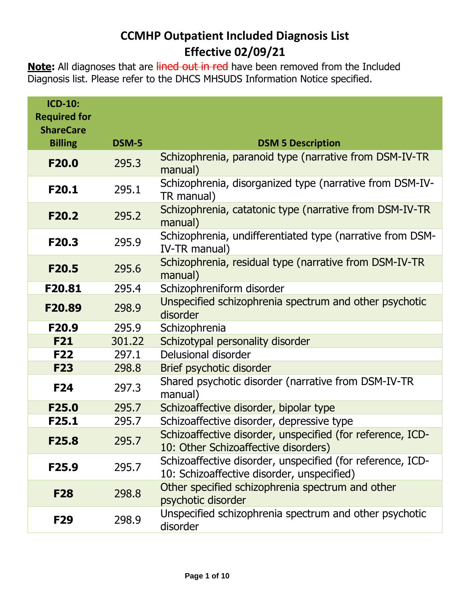## **CCMHP Outpatient Included Diagnosis List Effective 02/09/21**

**Note:** All diagnoses that are lined out in red have been removed from the Included Diagnosis list. Please refer to the DHCS MHSUDS Information Notice specified.

| <b>ICD-10:</b><br><b>Required for</b><br><b>ShareCare</b> |        |                                                                                                          |
|-----------------------------------------------------------|--------|----------------------------------------------------------------------------------------------------------|
| <b>Billing</b>                                            | DSM-5  | <b>DSM 5 Description</b>                                                                                 |
| F <sub>20.0</sub>                                         | 295.3  | Schizophrenia, paranoid type (narrative from DSM-IV-TR<br>manual)                                        |
| F20.1                                                     | 295.1  | Schizophrenia, disorganized type (narrative from DSM-IV-<br>TR manual)                                   |
| F <sub>20.2</sub>                                         | 295.2  | Schizophrenia, catatonic type (narrative from DSM-IV-TR<br>manual)                                       |
| F20.3                                                     | 295.9  | Schizophrenia, undifferentiated type (narrative from DSM-<br>IV-TR manual)                               |
| F <sub>20.5</sub>                                         | 295.6  | Schizophrenia, residual type (narrative from DSM-IV-TR<br>manual)                                        |
| F20.81                                                    | 295.4  | Schizophreniform disorder                                                                                |
| F20.89                                                    | 298.9  | Unspecified schizophrenia spectrum and other psychotic<br>disorder                                       |
| F <sub>20.9</sub>                                         | 295.9  | Schizophrenia                                                                                            |
| <b>F21</b>                                                | 301.22 | Schizotypal personality disorder                                                                         |
| <b>F22</b>                                                | 297.1  | Delusional disorder                                                                                      |
| <b>F23</b>                                                | 298.8  | Brief psychotic disorder                                                                                 |
| <b>F24</b>                                                | 297.3  | Shared psychotic disorder (narrative from DSM-IV-TR<br>manual)                                           |
| F25.0                                                     | 295.7  | Schizoaffective disorder, bipolar type                                                                   |
| F25.1                                                     | 295.7  | Schizoaffective disorder, depressive type                                                                |
| F25.8                                                     | 295.7  | Schizoaffective disorder, unspecified (for reference, ICD-<br>10: Other Schizoaffective disorders)       |
| F <sub>25.9</sub>                                         | 295.7  | Schizoaffective disorder, unspecified (for reference, ICD-<br>10: Schizoaffective disorder, unspecified) |
| <b>F28</b>                                                | 298.8  | Other specified schizophrenia spectrum and other<br>psychotic disorder                                   |
| F <sub>29</sub>                                           | 298.9  | Unspecified schizophrenia spectrum and other psychotic<br>disorder                                       |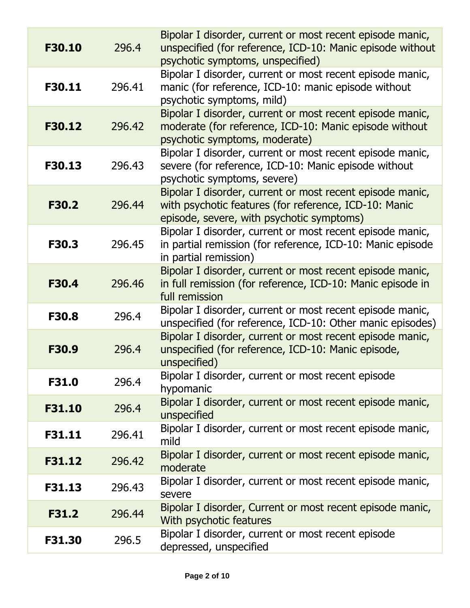| F30.10       | 296.4  | Bipolar I disorder, current or most recent episode manic,<br>unspecified (for reference, ICD-10: Manic episode without<br>psychotic symptoms, unspecified)      |
|--------------|--------|-----------------------------------------------------------------------------------------------------------------------------------------------------------------|
| F30.11       | 296.41 | Bipolar I disorder, current or most recent episode manic,<br>manic (for reference, ICD-10: manic episode without<br>psychotic symptoms, mild)                   |
| F30.12       | 296.42 | Bipolar I disorder, current or most recent episode manic,<br>moderate (for reference, ICD-10: Manic episode without<br>psychotic symptoms, moderate)            |
| F30.13       | 296.43 | Bipolar I disorder, current or most recent episode manic,<br>severe (for reference, ICD-10: Manic episode without<br>psychotic symptoms, severe)                |
| F30.2        | 296.44 | Bipolar I disorder, current or most recent episode manic,<br>with psychotic features (for reference, ICD-10: Manic<br>episode, severe, with psychotic symptoms) |
| F30.3        | 296.45 | Bipolar I disorder, current or most recent episode manic,<br>in partial remission (for reference, ICD-10: Manic episode<br>in partial remission)                |
| <b>F30.4</b> | 296.46 | Bipolar I disorder, current or most recent episode manic,<br>in full remission (for reference, ICD-10: Manic episode in<br>full remission                       |
| <b>F30.8</b> | 296.4  | Bipolar I disorder, current or most recent episode manic,<br>unspecified (for reference, ICD-10: Other manic episodes)                                          |
| F30.9        | 296.4  | Bipolar I disorder, current or most recent episode manic,<br>unspecified (for reference, ICD-10: Manic episode,<br>unspecified)                                 |
| F31.0        | 296.4  | Bipolar I disorder, current or most recent episode<br>hypomanic                                                                                                 |
| F31.10       | 296.4  | Bipolar I disorder, current or most recent episode manic,<br>unspecified                                                                                        |
| F31.11       | 296.41 | Bipolar I disorder, current or most recent episode manic,<br>mild                                                                                               |
| F31.12       | 296.42 | Bipolar I disorder, current or most recent episode manic,<br>moderate                                                                                           |
| F31.13       | 296.43 | Bipolar I disorder, current or most recent episode manic,<br>severe                                                                                             |
| F31.2        | 296.44 | Bipolar I disorder, Current or most recent episode manic,<br>With psychotic features                                                                            |
| F31.30       | 296.5  | Bipolar I disorder, current or most recent episode<br>depressed, unspecified                                                                                    |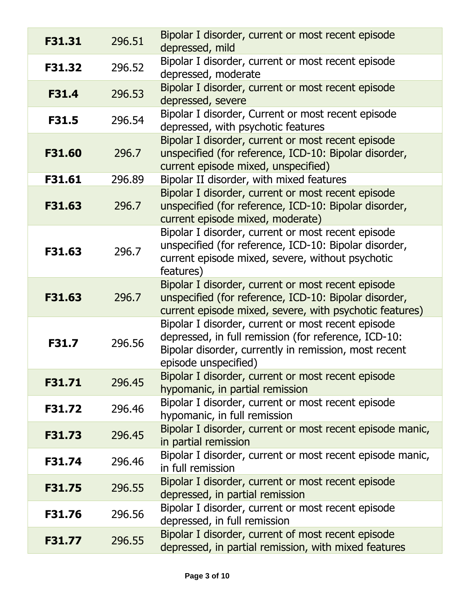| F31.31 | 296.51 | Bipolar I disorder, current or most recent episode<br>depressed, mild                                                                                                                       |
|--------|--------|---------------------------------------------------------------------------------------------------------------------------------------------------------------------------------------------|
| F31.32 | 296.52 | Bipolar I disorder, current or most recent episode<br>depressed, moderate                                                                                                                   |
| F31.4  | 296.53 | Bipolar I disorder, current or most recent episode<br>depressed, severe                                                                                                                     |
| F31.5  | 296.54 | Bipolar I disorder, Current or most recent episode<br>depressed, with psychotic features                                                                                                    |
| F31.60 | 296.7  | Bipolar I disorder, current or most recent episode<br>unspecified (for reference, ICD-10: Bipolar disorder,<br>current episode mixed, unspecified)                                          |
| F31.61 | 296.89 | Bipolar II disorder, with mixed features                                                                                                                                                    |
| F31.63 | 296.7  | Bipolar I disorder, current or most recent episode<br>unspecified (for reference, ICD-10: Bipolar disorder,<br>current episode mixed, moderate)                                             |
| F31.63 | 296.7  | Bipolar I disorder, current or most recent episode<br>unspecified (for reference, ICD-10: Bipolar disorder,<br>current episode mixed, severe, without psychotic<br>features)                |
| F31.63 | 296.7  | Bipolar I disorder, current or most recent episode<br>unspecified (for reference, ICD-10: Bipolar disorder,<br>current episode mixed, severe, with psychotic features)                      |
| F31.7  | 296.56 | Bipolar I disorder, current or most recent episode<br>depressed, in full remission (for reference, ICD-10:<br>Bipolar disorder, currently in remission, most recent<br>episode unspecified) |
| F31.71 | 296.45 | Bipolar I disorder, current or most recent episode<br>hypomanic, in partial remission                                                                                                       |
| F31.72 | 296.46 | Bipolar I disorder, current or most recent episode<br>hypomanic, in full remission                                                                                                          |
| F31.73 | 296.45 | Bipolar I disorder, current or most recent episode manic,<br>in partial remission                                                                                                           |
| F31.74 | 296.46 | Bipolar I disorder, current or most recent episode manic,<br>in full remission                                                                                                              |
| F31.75 | 296.55 | Bipolar I disorder, current or most recent episode<br>depressed, in partial remission                                                                                                       |
| F31.76 | 296.56 | Bipolar I disorder, current or most recent episode<br>depressed, in full remission                                                                                                          |
| F31.77 | 296.55 | Bipolar I disorder, current of most recent episode<br>depressed, in partial remission, with mixed features                                                                                  |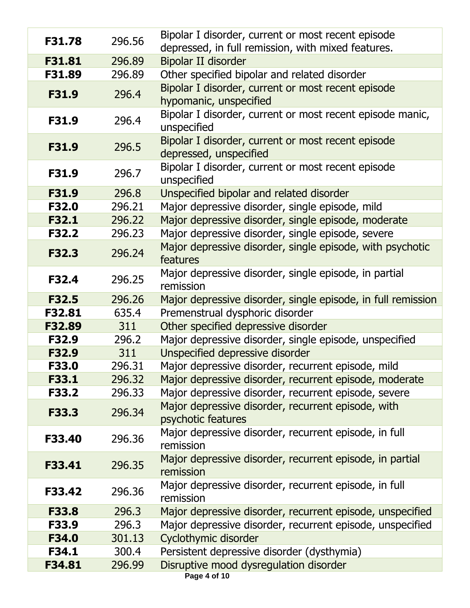| F31.78       | 296.56 | Bipolar I disorder, current or most recent episode<br>depressed, in full remission, with mixed features. |
|--------------|--------|----------------------------------------------------------------------------------------------------------|
| F31.81       | 296.89 | <b>Bipolar II disorder</b>                                                                               |
| F31.89       | 296.89 | Other specified bipolar and related disorder                                                             |
| F31.9        | 296.4  | Bipolar I disorder, current or most recent episode<br>hypomanic, unspecified                             |
| F31.9        | 296.4  | Bipolar I disorder, current or most recent episode manic,<br>unspecified                                 |
| F31.9        | 296.5  | Bipolar I disorder, current or most recent episode<br>depressed, unspecified                             |
| F31.9        | 296.7  | Bipolar I disorder, current or most recent episode<br>unspecified                                        |
| F31.9        | 296.8  | Unspecified bipolar and related disorder                                                                 |
| <b>F32.0</b> | 296.21 | Major depressive disorder, single episode, mild                                                          |
| F32.1        | 296.22 | Major depressive disorder, single episode, moderate                                                      |
| <b>F32.2</b> | 296.23 | Major depressive disorder, single episode, severe                                                        |
| <b>F32.3</b> | 296.24 | Major depressive disorder, single episode, with psychotic<br>features                                    |
| F32.4        | 296.25 | Major depressive disorder, single episode, in partial<br>remission                                       |
| <b>F32.5</b> | 296.26 | Major depressive disorder, single episode, in full remission                                             |
| F32.81       | 635.4  | Premenstrual dysphoric disorder                                                                          |
| F32.89       | 311    | Other specified depressive disorder                                                                      |
| F32.9        | 296.2  | Major depressive disorder, single episode, unspecified                                                   |
| F32.9        | 311    | Unspecified depressive disorder                                                                          |
| F33.0        | 296.31 | Major depressive disorder, recurrent episode, mild                                                       |
| F33.1        | 296.32 | Major depressive disorder, recurrent episode, moderate                                                   |
| <b>F33.2</b> | 296.33 | Major depressive disorder, recurrent episode, severe                                                     |
| F33.3        | 296.34 | Major depressive disorder, recurrent episode, with<br>psychotic features                                 |
| F33.40       | 296.36 | Major depressive disorder, recurrent episode, in full<br>remission                                       |
| F33.41       | 296.35 | Major depressive disorder, recurrent episode, in partial<br>remission                                    |
| F33.42       | 296.36 | Major depressive disorder, recurrent episode, in full<br>remission                                       |
| F33.8        | 296.3  | Major depressive disorder, recurrent episode, unspecified                                                |
| F33.9        | 296.3  | Major depressive disorder, recurrent episode, unspecified                                                |
| F34.0        | 301.13 | Cyclothymic disorder                                                                                     |
| F34.1        | 300.4  | Persistent depressive disorder (dysthymia)                                                               |
| F34.81       | 296.99 | Disruptive mood dysregulation disorder                                                                   |
|              |        | Page 4 of 10                                                                                             |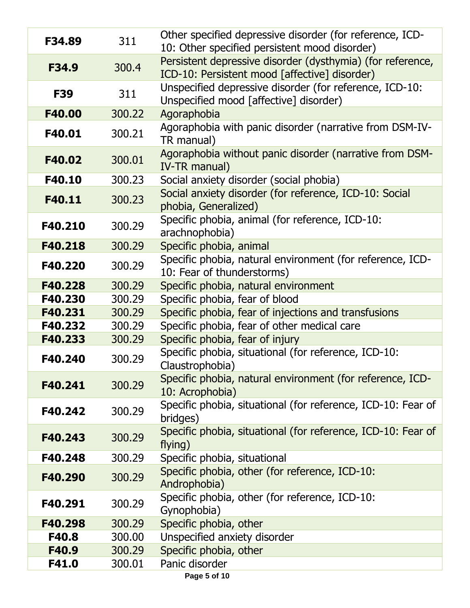| F34.89     | 311    | Other specified depressive disorder (for reference, ICD-<br>10: Other specified persistent mood disorder)   |
|------------|--------|-------------------------------------------------------------------------------------------------------------|
| F34.9      | 300.4  | Persistent depressive disorder (dysthymia) (for reference,<br>ICD-10: Persistent mood [affective] disorder) |
| <b>F39</b> | 311    | Unspecified depressive disorder (for reference, ICD-10:<br>Unspecified mood [affective] disorder)           |
| F40.00     | 300.22 | Agoraphobia                                                                                                 |
| F40.01     | 300.21 | Agoraphobia with panic disorder (narrative from DSM-IV-<br>TR manual)                                       |
| F40.02     | 300.01 | Agoraphobia without panic disorder (narrative from DSM-<br>IV-TR manual)                                    |
| F40.10     | 300.23 | Social anxiety disorder (social phobia)                                                                     |
| F40.11     | 300.23 | Social anxiety disorder (for reference, ICD-10: Social<br>phobia, Generalized)                              |
| F40.210    | 300.29 | Specific phobia, animal (for reference, ICD-10:<br>arachnophobia)                                           |
| F40.218    | 300.29 | Specific phobia, animal                                                                                     |
| F40.220    | 300.29 | Specific phobia, natural environment (for reference, ICD-<br>10: Fear of thunderstorms)                     |
| F40.228    | 300.29 | Specific phobia, natural environment                                                                        |
| F40.230    | 300.29 | Specific phobia, fear of blood                                                                              |
| F40.231    | 300.29 | Specific phobia, fear of injections and transfusions                                                        |
| F40.232    | 300.29 | Specific phobia, fear of other medical care                                                                 |
| F40.233    | 300.29 | Specific phobia, fear of injury                                                                             |
| F40.240    | 300.29 | Specific phobia, situational (for reference, ICD-10:<br>Claustrophobia)                                     |
| F40.241    | 300.29 | Specific phobia, natural environment (for reference, ICD-<br>10: Acrophobia)                                |
| F40.242    | 300.29 | Specific phobia, situational (for reference, ICD-10: Fear of<br>bridges)                                    |
| F40.243    | 300.29 | Specific phobia, situational (for reference, ICD-10: Fear of<br>flying)                                     |
| F40.248    | 300.29 | Specific phobia, situational                                                                                |
| F40.290    | 300.29 | Specific phobia, other (for reference, ICD-10:<br>Androphobia)                                              |
| F40.291    | 300.29 | Specific phobia, other (for reference, ICD-10:<br>Gynophobia)                                               |
| F40.298    | 300.29 | Specific phobia, other                                                                                      |
| F40.8      | 300.00 | Unspecified anxiety disorder                                                                                |
| F40.9      | 300.29 | Specific phobia, other                                                                                      |
| F41.0      | 300.01 | Panic disorder                                                                                              |
|            |        | Page 5 of 10                                                                                                |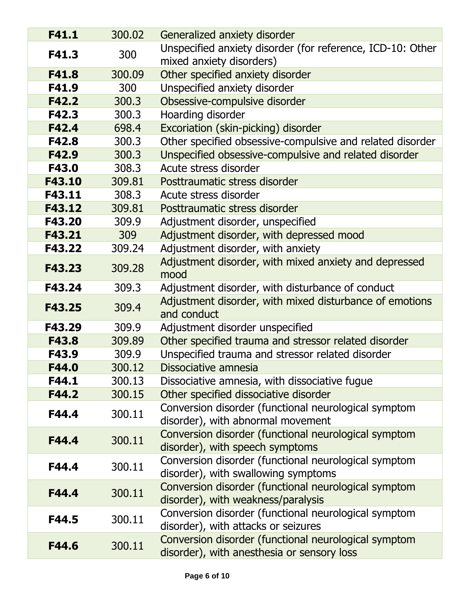| F41.1  | 300.02 | Generalized anxiety disorder                                                                       |
|--------|--------|----------------------------------------------------------------------------------------------------|
| F41.3  | 300    | Unspecified anxiety disorder (for reference, ICD-10: Other<br>mixed anxiety disorders)             |
| F41.8  | 300.09 | Other specified anxiety disorder                                                                   |
| F41.9  | 300    | Unspecified anxiety disorder                                                                       |
| F42.2  | 300.3  | Obsessive-compulsive disorder                                                                      |
| F42.3  | 300.3  | Hoarding disorder                                                                                  |
| F42.4  | 698.4  | Excoriation (skin-picking) disorder                                                                |
| F42.8  | 300.3  | Other specified obsessive-compulsive and related disorder                                          |
| F42.9  | 300.3  | Unspecified obsessive-compulsive and related disorder                                              |
| F43.0  | 308.3  | Acute stress disorder                                                                              |
| F43.10 | 309.81 | Posttraumatic stress disorder                                                                      |
| F43.11 | 308.3  | Acute stress disorder                                                                              |
| F43.12 | 309.81 | Posttraumatic stress disorder                                                                      |
| F43.20 | 309.9  | Adjustment disorder, unspecified                                                                   |
| F43.21 | 309    | Adjustment disorder, with depressed mood                                                           |
| F43.22 | 309.24 | Adjustment disorder, with anxiety                                                                  |
| F43.23 | 309.28 | Adjustment disorder, with mixed anxiety and depressed<br>mood                                      |
| F43.24 | 309.3  | Adjustment disorder, with disturbance of conduct                                                   |
| F43.25 | 309.4  | Adjustment disorder, with mixed disturbance of emotions<br>and conduct                             |
| F43.29 | 309.9  | Adjustment disorder unspecified                                                                    |
| F43.8  | 309.89 | Other specified trauma and stressor related disorder                                               |
| F43.9  | 309.9  | Unspecified trauma and stressor related disorder                                                   |
| F44.0  | 300.12 | Dissociative amnesia                                                                               |
| F44.1  | 300.13 | Dissociative amnesia, with dissociative fugue                                                      |
| F44.2  | 300.15 | Other specified dissociative disorder                                                              |
| F44.4  | 300.11 | Conversion disorder (functional neurological symptom<br>disorder), with abnormal movement          |
| F44.4  | 300.11 | Conversion disorder (functional neurological symptom<br>disorder), with speech symptoms            |
| F44.4  | 300.11 | Conversion disorder (functional neurological symptom<br>disorder), with swallowing symptoms        |
| F44.4  | 300.11 | Conversion disorder (functional neurological symptom<br>disorder), with weakness/paralysis         |
| F44.5  | 300.11 | Conversion disorder (functional neurological symptom<br>disorder), with attacks or seizures        |
| F44.6  | 300.11 | Conversion disorder (functional neurological symptom<br>disorder), with anesthesia or sensory loss |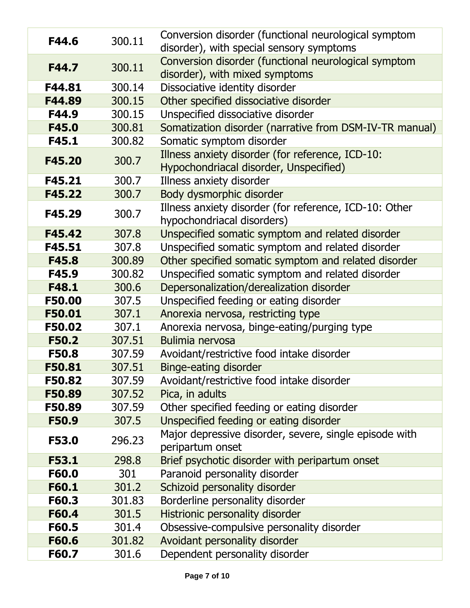| F44.6         | 300.11 | Conversion disorder (functional neurological symptom                                       |
|---------------|--------|--------------------------------------------------------------------------------------------|
|               |        | disorder), with special sensory symptoms                                                   |
| F44.7         | 300.11 | Conversion disorder (functional neurological symptom<br>disorder), with mixed symptoms     |
| F44.81        | 300.14 | Dissociative identity disorder                                                             |
| F44.89        | 300.15 | Other specified dissociative disorder                                                      |
| F44.9         | 300.15 | Unspecified dissociative disorder                                                          |
| F45.0         | 300.81 | Somatization disorder (narrative from DSM-IV-TR manual)                                    |
| F45.1         | 300.82 | Somatic symptom disorder                                                                   |
| F45.20        | 300.7  | Illness anxiety disorder (for reference, ICD-10:<br>Hypochondriacal disorder, Unspecified) |
| F45.21        | 300.7  | Illness anxiety disorder                                                                   |
| F45.22        | 300.7  | Body dysmorphic disorder                                                                   |
| F45.29        | 300.7  | Illness anxiety disorder (for reference, ICD-10: Other<br>hypochondriacal disorders)       |
| F45.42        | 307.8  | Unspecified somatic symptom and related disorder                                           |
| F45.51        | 307.8  | Unspecified somatic symptom and related disorder                                           |
| F45.8         | 300.89 | Other specified somatic symptom and related disorder                                       |
| F45.9         | 300.82 | Unspecified somatic symptom and related disorder                                           |
| F48.1         | 300.6  | Depersonalization/derealization disorder                                                   |
| <b>F50.00</b> | 307.5  | Unspecified feeding or eating disorder                                                     |
| F50.01        | 307.1  | Anorexia nervosa, restricting type                                                         |
| F50.02        | 307.1  | Anorexia nervosa, binge-eating/purging type                                                |
| <b>F50.2</b>  | 307.51 | <b>Bulimia nervosa</b>                                                                     |
| <b>F50.8</b>  | 307.59 | Avoidant/restrictive food intake disorder                                                  |
| F50.81        | 307.51 | <b>Binge-eating disorder</b>                                                               |
| F50.82        | 307.59 | Avoidant/restrictive food intake disorder                                                  |
| F50.89        | 307.52 | Pica, in adults                                                                            |
| F50.89        | 307.59 | Other specified feeding or eating disorder                                                 |
| <b>F50.9</b>  | 307.5  | Unspecified feeding or eating disorder                                                     |
| F53.0         | 296.23 | Major depressive disorder, severe, single episode with<br>peripartum onset                 |
| <b>F53.1</b>  | 298.8  | Brief psychotic disorder with peripartum onset                                             |
| F60.0         | 301    | Paranoid personality disorder                                                              |
| F60.1         | 301.2  | Schizoid personality disorder                                                              |
| F60.3         | 301.83 | Borderline personality disorder                                                            |
| F60.4         | 301.5  | Histrionic personality disorder                                                            |
| F60.5         | 301.4  | Obsessive-compulsive personality disorder                                                  |
| F60.6         | 301.82 | Avoidant personality disorder                                                              |
| F60.7         | 301.6  | Dependent personality disorder                                                             |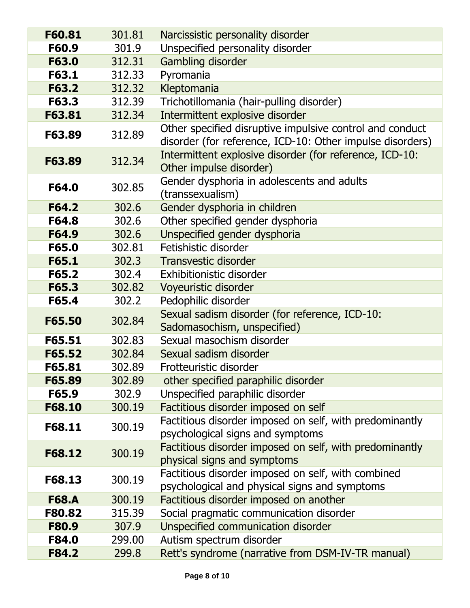| F60.81       | 301.81 | Narcissistic personality disorder                                                                                     |
|--------------|--------|-----------------------------------------------------------------------------------------------------------------------|
| F60.9        | 301.9  | Unspecified personality disorder                                                                                      |
| F63.0        | 312.31 | Gambling disorder                                                                                                     |
| F63.1        | 312.33 | Pyromania                                                                                                             |
| F63.2        | 312.32 | Kleptomania                                                                                                           |
| F63.3        | 312.39 | Trichotillomania (hair-pulling disorder)                                                                              |
| F63.81       | 312.34 | Intermittent explosive disorder                                                                                       |
| F63.89       | 312.89 | Other specified disruptive impulsive control and conduct<br>disorder (for reference, ICD-10: Other impulse disorders) |
| F63.89       | 312.34 | Intermittent explosive disorder (for reference, ICD-10:<br>Other impulse disorder)                                    |
| F64.0        | 302.85 | Gender dysphoria in adolescents and adults<br>(transsexualism)                                                        |
| F64.2        | 302.6  | Gender dysphoria in children                                                                                          |
| F64.8        | 302.6  | Other specified gender dysphoria                                                                                      |
| F64.9        | 302.6  | Unspecified gender dysphoria                                                                                          |
| F65.0        | 302.81 | Fetishistic disorder                                                                                                  |
| F65.1        | 302.3  | <b>Transvestic disorder</b>                                                                                           |
| F65.2        | 302.4  | <b>Exhibitionistic disorder</b>                                                                                       |
| F65.3        | 302.82 | Voyeuristic disorder                                                                                                  |
| F65.4        | 302.2  | Pedophilic disorder                                                                                                   |
| F65.50       | 302.84 | Sexual sadism disorder (for reference, ICD-10:<br>Sadomasochism, unspecified)                                         |
| F65.51       | 302.83 | Sexual masochism disorder                                                                                             |
| F65.52       | 302.84 | Sexual sadism disorder                                                                                                |
| F65.81       | 302.89 | Frotteuristic disorder                                                                                                |
| F65.89       | 302.89 | other specified paraphilic disorder                                                                                   |
| F65.9        | 302.9  | Unspecified paraphilic disorder                                                                                       |
| F68.10       | 300.19 | Factitious disorder imposed on self                                                                                   |
| F68.11       | 300.19 | Factitious disorder imposed on self, with predominantly<br>psychological signs and symptoms                           |
| F68.12       | 300.19 | Factitious disorder imposed on self, with predominantly<br>physical signs and symptoms                                |
| F68.13       | 300.19 | Factitious disorder imposed on self, with combined<br>psychological and physical signs and symptoms                   |
| <b>F68.A</b> | 300.19 | Factitious disorder imposed on another                                                                                |
| F80.82       | 315.39 | Social pragmatic communication disorder                                                                               |
| <b>F80.9</b> | 307.9  | Unspecified communication disorder                                                                                    |
| <b>F84.0</b> | 299.00 | Autism spectrum disorder                                                                                              |
| F84.2        | 299.8  | Rett's syndrome (narrative from DSM-IV-TR manual)                                                                     |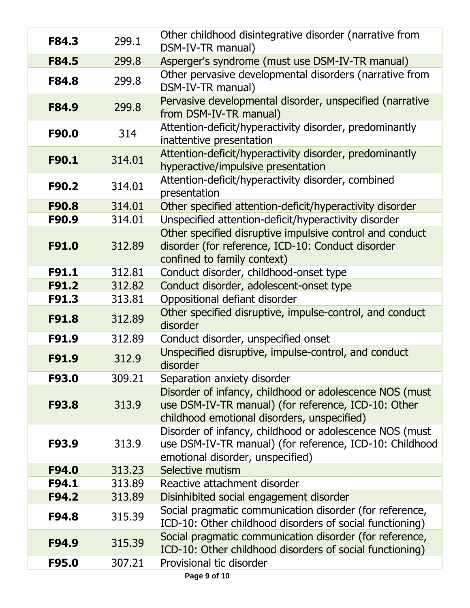| F84.3        | 299.1  | Other childhood disintegrative disorder (narrative from<br>DSM-IV-TR manual)                                                                                  |
|--------------|--------|---------------------------------------------------------------------------------------------------------------------------------------------------------------|
| F84.5        | 299.8  | Asperger's syndrome (must use DSM-IV-TR manual)                                                                                                               |
| <b>F84.8</b> | 299.8  | Other pervasive developmental disorders (narrative from<br>DSM-IV-TR manual)                                                                                  |
| <b>F84.9</b> | 299.8  | Pervasive developmental disorder, unspecified (narrative<br>from DSM-IV-TR manual)                                                                            |
| F90.0        | 314    | Attention-deficit/hyperactivity disorder, predominantly<br>inattentive presentation                                                                           |
| F90.1        | 314.01 | Attention-deficit/hyperactivity disorder, predominantly<br>hyperactive/impulsive presentation                                                                 |
| F90.2        | 314.01 | Attention-deficit/hyperactivity disorder, combined<br>presentation                                                                                            |
| F90.8        | 314.01 | Other specified attention-deficit/hyperactivity disorder                                                                                                      |
| F90.9        | 314.01 | Unspecified attention-deficit/hyperactivity disorder                                                                                                          |
| F91.0        | 312.89 | Other specified disruptive impulsive control and conduct<br>disorder (for reference, ICD-10: Conduct disorder<br>confined to family context)                  |
| F91.1        | 312.81 | Conduct disorder, childhood-onset type                                                                                                                        |
| F91.2        | 312.82 | Conduct disorder, adolescent-onset type                                                                                                                       |
| F91.3        | 313.81 | Oppositional defiant disorder                                                                                                                                 |
| F91.8        | 312.89 | Other specified disruptive, impulse-control, and conduct<br>disorder                                                                                          |
| F91.9        | 312.89 | Conduct disorder, unspecified onset                                                                                                                           |
| F91.9        | 312.9  | Unspecified disruptive, impulse-control, and conduct<br>disorder                                                                                              |
| F93.0        | 309.21 | Separation anxiety disorder                                                                                                                                   |
| F93.8        | 313.9  | Disorder of infancy, childhood or adolescence NOS (must<br>use DSM-IV-TR manual) (for reference, ICD-10: Other<br>childhood emotional disorders, unspecified) |
| F93.9        | 313.9  | Disorder of infancy, childhood or adolescence NOS (must<br>use DSM-IV-TR manual) (for reference, ICD-10: Childhood<br>emotional disorder, unspecified)        |
| F94.0        | 313.23 | Selective mutism                                                                                                                                              |
| F94.1        | 313.89 | Reactive attachment disorder                                                                                                                                  |
| F94.2        | 313.89 | Disinhibited social engagement disorder                                                                                                                       |
| F94.8        | 315.39 | Social pragmatic communication disorder (for reference,<br>ICD-10: Other childhood disorders of social functioning)                                           |
| F94.9        | 315.39 | Social pragmatic communication disorder (for reference,<br>ICD-10: Other childhood disorders of social functioning)                                           |
| F95.0        | 307.21 | Provisional tic disorder                                                                                                                                      |